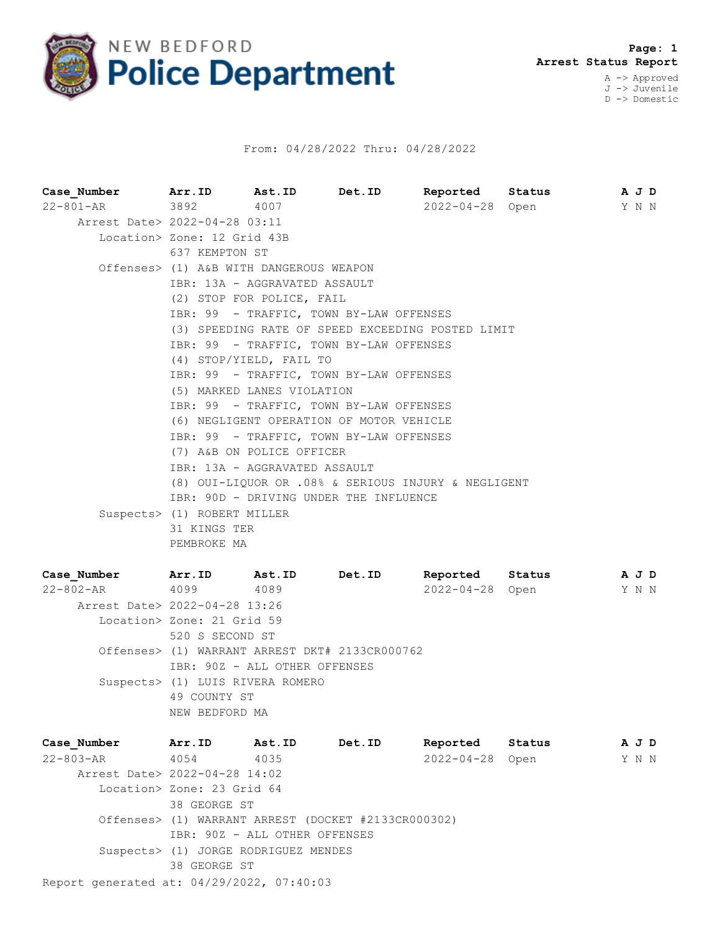

## From: 04/28/2022 Thru: 04/28/2022

**Case\_Number Arr.ID Ast.ID Det.ID Reported Status A J D** 22-801-AR 3892 4007 2022-04-28 Open Y N N Arrest Date> 2022-04-28 03:11 Location> Zone: 12 Grid 43B 637 KEMPTON ST Offenses> (1) A&B WITH DANGEROUS WEAPON IBR: 13A - AGGRAVATED ASSAULT (2) STOP FOR POLICE, FAIL IBR: 99 - TRAFFIC, TOWN BY-LAW OFFENSES (3) SPEEDING RATE OF SPEED EXCEEDING POSTED LIMIT IBR: 99 - TRAFFIC, TOWN BY-LAW OFFENSES (4) STOP/YIELD, FAIL TO IBR: 99 - TRAFFIC, TOWN BY-LAW OFFENSES (5) MARKED LANES VIOLATION IBR: 99 - TRAFFIC, TOWN BY-LAW OFFENSES (6) NEGLIGENT OPERATION OF MOTOR VEHICLE IBR: 99 - TRAFFIC, TOWN BY-LAW OFFENSES (7) A&B ON POLICE OFFICER IBR: 13A - AGGRAVATED ASSAULT (8) OUI-LIQUOR OR .08% & SERIOUS INJURY & NEGLIGENT IBR: 90D - DRIVING UNDER THE INFLUENCE Suspects> (1) ROBERT MILLER 31 KINGS TER PEMBROKE MA

| Case Number                   | Arr.ID                           | <b>Ast.ID</b> | Det.ID                                         | Reported        | Status | A J D |  |
|-------------------------------|----------------------------------|---------------|------------------------------------------------|-----------------|--------|-------|--|
| 22-802-AR                     | 4099                             | 4089          |                                                | 2022-04-28 Open |        | Y N N |  |
| Arrest Date> 2022-04-28 13:26 |                                  |               |                                                |                 |        |       |  |
|                               | Location> Zone: 21 Grid 59       |               |                                                |                 |        |       |  |
|                               | 520 S SECOND ST                  |               |                                                |                 |        |       |  |
|                               |                                  |               | Offenses> (1) WARRANT ARREST DKT# 2133CR000762 |                 |        |       |  |
|                               | IBR: 90Z - ALL OTHER OFFENSES    |               |                                                |                 |        |       |  |
|                               | Suspects> (1) LUIS RIVERA ROMERO |               |                                                |                 |        |       |  |
|                               | 49 COUNTY ST                     |               |                                                |                 |        |       |  |
|                               | NEW BEDFORD MA                   |               |                                                |                 |        |       |  |

Report generated at: 04/29/2022, 07:40:03 **Case\_Number Arr.ID Ast.ID Det.ID Reported Status A J D** 22-803-AR 4054 4035 2022-04-28 Open Y N N Arrest Date> 2022-04-28 14:02 Location> Zone: 23 Grid 64 38 GEORGE ST Offenses> (1) WARRANT ARREST (DOCKET #2133CR000302) IBR: 90Z - ALL OTHER OFFENSES Suspects> (1) JORGE RODRIGUEZ MENDES 38 GEORGE ST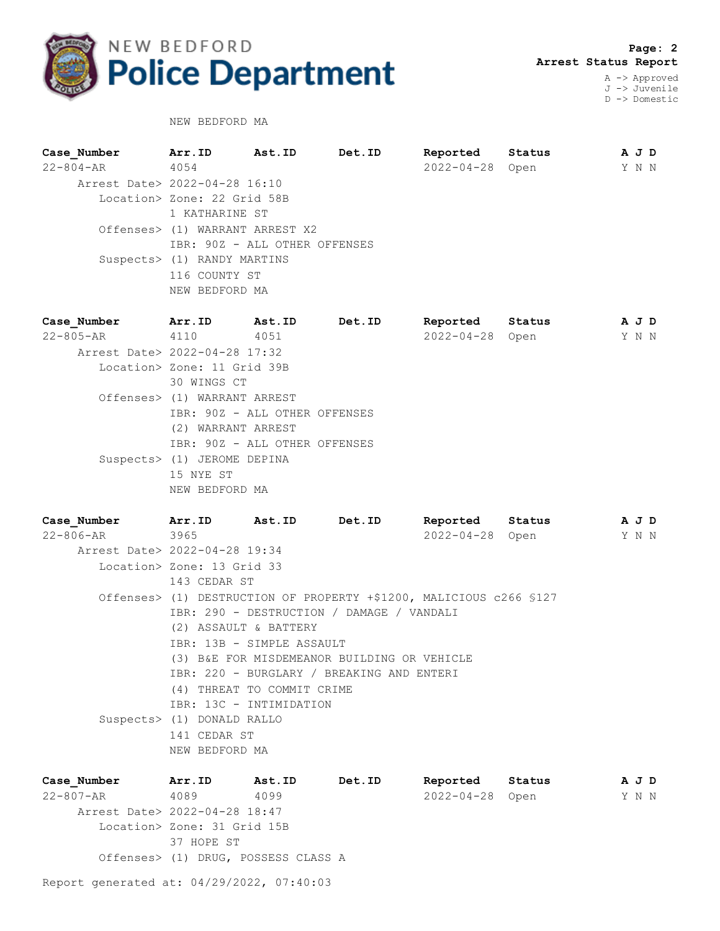

 **Page: 2 Arrest Status Report** A -> Approved

J -> Juvenile D -> Domestic

NEW BEDFORD MA

| Case Number                   | Arr.ID                          | Ast.ID | Det.ID | Reported              | Status | A J D |  |
|-------------------------------|---------------------------------|--------|--------|-----------------------|--------|-------|--|
| 22-804-AR                     | 4054                            |        |        | $2022 - 04 - 28$ Open |        | Y N N |  |
| Arrest Date> 2022-04-28 16:10 |                                 |        |        |                       |        |       |  |
|                               | Location> Zone: 22 Grid 58B     |        |        |                       |        |       |  |
|                               | 1 KATHARINE ST                  |        |        |                       |        |       |  |
|                               | Offenses> (1) WARRANT ARREST X2 |        |        |                       |        |       |  |
|                               | IBR: 90Z - ALL OTHER OFFENSES   |        |        |                       |        |       |  |
|                               | Suspects> (1) RANDY MARTINS     |        |        |                       |        |       |  |
|                               | 116 COUNTY ST                   |        |        |                       |        |       |  |
|                               | NEW BEDFORD MA                  |        |        |                       |        |       |  |
|                               |                                 |        |        |                       |        |       |  |

**Case\_Number Arr.ID Ast.ID Det.ID Reported Status A J D** 22-805-AR 4110 4051 2022-04-28 Open Y N N Arrest Date> 2022-04-28 17:32 Location> Zone: 11 Grid 39B 30 WINGS CT Offenses> (1) WARRANT ARREST IBR: 90Z - ALL OTHER OFFENSES (2) WARRANT ARREST IBR: 90Z - ALL OTHER OFFENSES Suspects> (1) JEROME DEPINA 15 NYE ST NEW BEDFORD MA

**Case\_Number Arr.ID Ast.ID Det.ID Reported Status A J D** 22-806-AR 3965 2022-04-28 Open Y N N Arrest Date> 2022-04-28 19:34 Location> Zone: 13 Grid 33 143 CEDAR ST Offenses> (1) DESTRUCTION OF PROPERTY +\$1200, MALICIOUS c266 §127 IBR: 290 - DESTRUCTION / DAMAGE / VANDALI (2) ASSAULT & BATTERY IBR: 13B - SIMPLE ASSAULT (3) B&E FOR MISDEMEANOR BUILDING OR VEHICLE IBR: 220 - BURGLARY / BREAKING AND ENTERI (4) THREAT TO COMMIT CRIME IBR: 13C - INTIMIDATION Suspects> (1) DONALD RALLO 141 CEDAR ST NEW BEDFORD MA

| Case Number                   | Arr.ID                              | Ast.ID | Det.ID | Reported              | Status | A J D |
|-------------------------------|-------------------------------------|--------|--------|-----------------------|--------|-------|
| $22 - 807 - AR$               | 4089                                | 4099   |        | $2022 - 04 - 28$ Open |        | Y N N |
| Arrest Date> 2022-04-28 18:47 |                                     |        |        |                       |        |       |
|                               | Location> Zone: 31 Grid 15B         |        |        |                       |        |       |
|                               | 37 HOPE ST                          |        |        |                       |        |       |
|                               | Offenses> (1) DRUG, POSSESS CLASS A |        |        |                       |        |       |